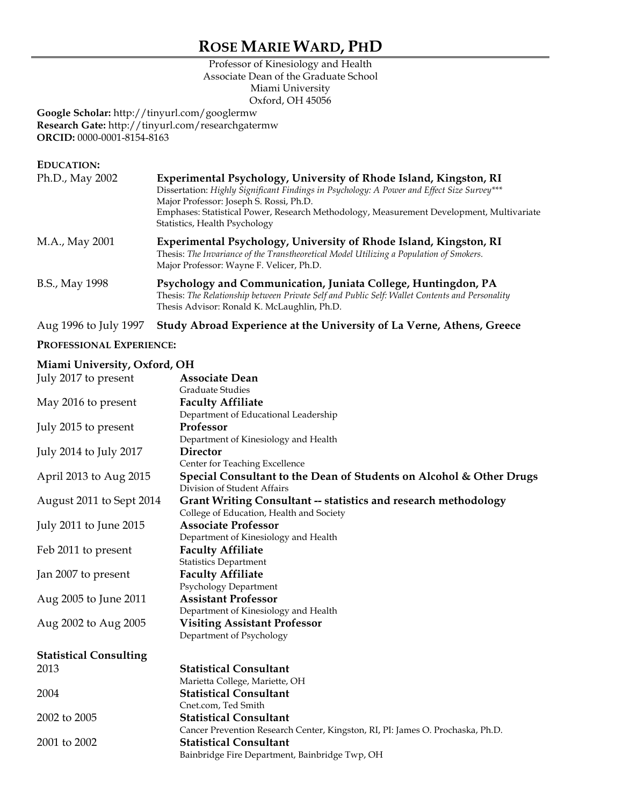# **ROSE MARIE WARD, PHD**

## Professor of Kinesiology and Health Associate Dean of the Graduate School Miami University Oxford, OH 45056

**Google Scholar:** http://tinyurl.com/googlermw **Research Gate:** http://tinyurl.com/researchgatermw **ORCID:** 0000-0001-8154-8163

| <b>EDUCATION:</b> |                                                                                                                                                                                                                                                                                                                                         |
|-------------------|-----------------------------------------------------------------------------------------------------------------------------------------------------------------------------------------------------------------------------------------------------------------------------------------------------------------------------------------|
| Ph.D., May 2002   | Experimental Psychology, University of Rhode Island, Kingston, RI<br>Dissertation: Highly Significant Findings in Psychology: A Power and Effect Size Survey***<br>Major Professor: Joseph S. Rossi, Ph.D.<br>Emphases: Statistical Power, Research Methodology, Measurement Development, Multivariate<br>Statistics, Health Psychology |
| M.A., May 2001    | Experimental Psychology, University of Rhode Island, Kingston, RI<br>Thesis: The Invariance of the Transtheoretical Model Utilizing a Population of Smokers.<br>Major Professor: Wayne F. Velicer, Ph.D.                                                                                                                                |
| B.S., May 1998    | Psychology and Communication, Juniata College, Huntingdon, PA<br>Thesis: The Relationship between Private Self and Public Self: Wallet Contents and Personality<br>Thesis Advisor: Ronald K. McLaughlin, Ph.D.                                                                                                                          |
|                   |                                                                                                                                                                                                                                                                                                                                         |

Aug 1996 to July 1997 **Study Abroad Experience at the University of La Verne, Athens, Greece**

#### **PROFESSIONAL EXPERIENCE:**

### **Miami University, Oxford, OH**

| July 2017 to present          | <b>Associate Dean</b>                                                          |
|-------------------------------|--------------------------------------------------------------------------------|
|                               | <b>Graduate Studies</b>                                                        |
| May 2016 to present           | <b>Faculty Affiliate</b>                                                       |
|                               | Department of Educational Leadership                                           |
| July 2015 to present          | Professor                                                                      |
|                               | Department of Kinesiology and Health                                           |
| July 2014 to July 2017        | <b>Director</b>                                                                |
|                               | Center for Teaching Excellence                                                 |
| April 2013 to Aug 2015        | Special Consultant to the Dean of Students on Alcohol & Other Drugs            |
|                               | Division of Student Affairs                                                    |
| August 2011 to Sept 2014      | <b>Grant Writing Consultant -- statistics and research methodology</b>         |
|                               | College of Education, Health and Society                                       |
| July 2011 to June 2015        | <b>Associate Professor</b>                                                     |
|                               | Department of Kinesiology and Health                                           |
| Feb 2011 to present           | <b>Faculty Affiliate</b>                                                       |
|                               | <b>Statistics Department</b>                                                   |
| Jan 2007 to present           | <b>Faculty Affiliate</b>                                                       |
|                               | Psychology Department                                                          |
| Aug 2005 to June 2011         | <b>Assistant Professor</b>                                                     |
|                               | Department of Kinesiology and Health                                           |
| Aug 2002 to Aug 2005          | <b>Visiting Assistant Professor</b>                                            |
|                               | Department of Psychology                                                       |
| <b>Statistical Consulting</b> |                                                                                |
| 2013                          | <b>Statistical Consultant</b>                                                  |
|                               | Marietta College, Mariette, OH                                                 |
| 2004                          | <b>Statistical Consultant</b>                                                  |
|                               | Cnet.com, Ted Smith                                                            |
| 2002 to 2005                  | <b>Statistical Consultant</b>                                                  |
|                               | Cancer Prevention Research Center, Kingston, RI, PI: James O. Prochaska, Ph.D. |
| 2001 to 2002                  | <b>Statistical Consultant</b>                                                  |
|                               | Bainbridge Fire Department, Bainbridge Twp, OH                                 |
|                               |                                                                                |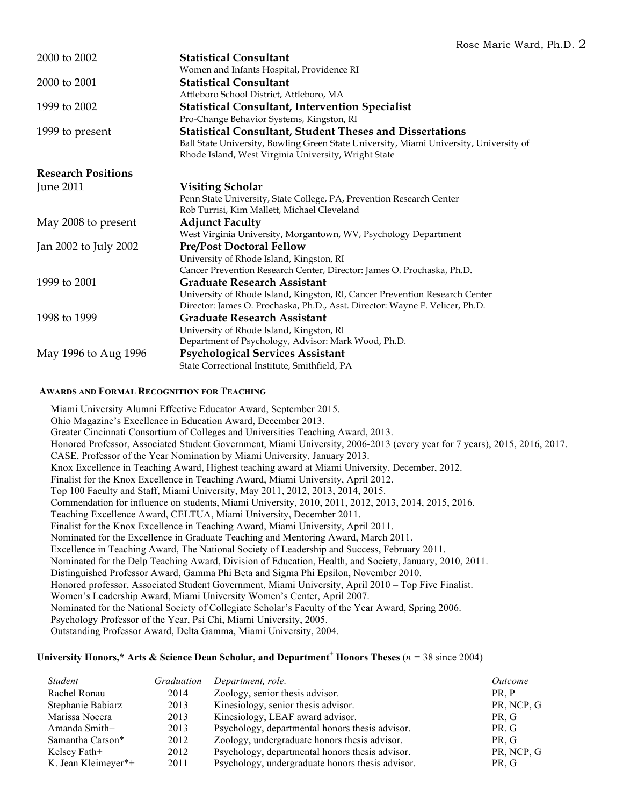| 2000 to 2002              | <b>Statistical Consultant</b>                                                          |  |
|---------------------------|----------------------------------------------------------------------------------------|--|
|                           | Women and Infants Hospital, Providence RI                                              |  |
| 2000 to 2001              | <b>Statistical Consultant</b>                                                          |  |
|                           | Attleboro School District, Attleboro, MA                                               |  |
| 1999 to 2002              | <b>Statistical Consultant, Intervention Specialist</b>                                 |  |
|                           | Pro-Change Behavior Systems, Kingston, RI                                              |  |
| 1999 to present           | <b>Statistical Consultant, Student Theses and Dissertations</b>                        |  |
|                           | Ball State University, Bowling Green State University, Miami University, University of |  |
|                           | Rhode Island, West Virginia University, Wright State                                   |  |
| <b>Research Positions</b> |                                                                                        |  |
| June 2011                 | <b>Visiting Scholar</b>                                                                |  |
|                           | Penn State University, State College, PA, Prevention Research Center                   |  |
|                           | Rob Turrisi, Kim Mallett, Michael Cleveland                                            |  |
| May 2008 to present       | <b>Adjunct Faculty</b>                                                                 |  |
|                           | West Virginia University, Morgantown, WV, Psychology Department                        |  |
| Jan 2002 to July 2002     | <b>Pre/Post Doctoral Fellow</b>                                                        |  |
|                           | University of Rhode Island, Kingston, RI                                               |  |
|                           | Cancer Prevention Research Center, Director: James O. Prochaska, Ph.D.                 |  |
| 1999 to 2001              | <b>Graduate Research Assistant</b>                                                     |  |
|                           | University of Rhode Island, Kingston, RI, Cancer Prevention Research Center            |  |
|                           | Director: James O. Prochaska, Ph.D., Asst. Director: Wayne F. Velicer, Ph.D.           |  |
| 1998 to 1999              | <b>Graduate Research Assistant</b>                                                     |  |
|                           | University of Rhode Island, Kingston, RI                                               |  |
|                           | Department of Psychology, Advisor: Mark Wood, Ph.D.                                    |  |
| May 1996 to Aug 1996      | <b>Psychological Services Assistant</b>                                                |  |
|                           | State Correctional Institute, Smithfield, PA                                           |  |
|                           |                                                                                        |  |

#### **AWARDS AND FORMAL RECOGNITION FOR TEACHING**

Miami University Alumni Effective Educator Award, September 2015. Ohio Magazine's Excellence in Education Award, December 2013. Greater Cincinnati Consortium of Colleges and Universities Teaching Award, 2013. Honored Professor, Associated Student Government, Miami University, 2006-2013 (every year for 7 years), 2015, 2016, 2017. CASE, Professor of the Year Nomination by Miami University, January 2013. Knox Excellence in Teaching Award, Highest teaching award at Miami University, December, 2012. Finalist for the Knox Excellence in Teaching Award, Miami University, April 2012. Top 100 Faculty and Staff, Miami University, May 2011, 2012, 2013, 2014, 2015. Commendation for influence on students, Miami University, 2010, 2011, 2012, 2013, 2014, 2015, 2016. Teaching Excellence Award, CELTUA, Miami University, December 2011. Finalist for the Knox Excellence in Teaching Award, Miami University, April 2011. Nominated for the Excellence in Graduate Teaching and Mentoring Award, March 2011. Excellence in Teaching Award, The National Society of Leadership and Success, February 2011. Nominated for the Delp Teaching Award, Division of Education, Health, and Society, January, 2010, 2011. Distinguished Professor Award, Gamma Phi Beta and Sigma Phi Epsilon, November 2010. Honored professor, Associated Student Government, Miami University, April 2010 – Top Five Finalist. Women's Leadership Award, Miami University Women's Center, April 2007. Nominated for the National Society of Collegiate Scholar's Faculty of the Year Award, Spring 2006. Psychology Professor of the Year, Psi Chi, Miami University, 2005. Outstanding Professor Award, Delta Gamma, Miami University, 2004.

#### **University Honors,\* Arts & Science Dean Scholar, and Department<sup>+</sup> Honors Theses** (*n =* 38 since 2004)

| <i>Student</i>      | Graduation | Department, role.                                | <i><u>Outcome</u></i> |
|---------------------|------------|--------------------------------------------------|-----------------------|
| Rachel Ronau        | 2014       | Zoology, senior thesis advisor.                  | PR, P                 |
| Stephanie Babiarz   | 2013       | Kinesiology, senior thesis advisor.              | PR, NCP, G            |
| Marissa Nocera      | 2013       | Kinesiology, LEAF award advisor.                 | PR, G                 |
| Amanda Smith+       | 2013       | Psychology, departmental honors thesis advisor.  | PR. G                 |
| Samantha Carson*    | 2012       | Zoology, undergraduate honors thesis advisor.    | PR. G                 |
| Kelsey Fath+        | 2012       | Psychology, departmental honors thesis advisor.  | PR, NCP, G            |
| K. Jean Kleimeyer*+ | 2011       | Psychology, undergraduate honors thesis advisor. | PR, G                 |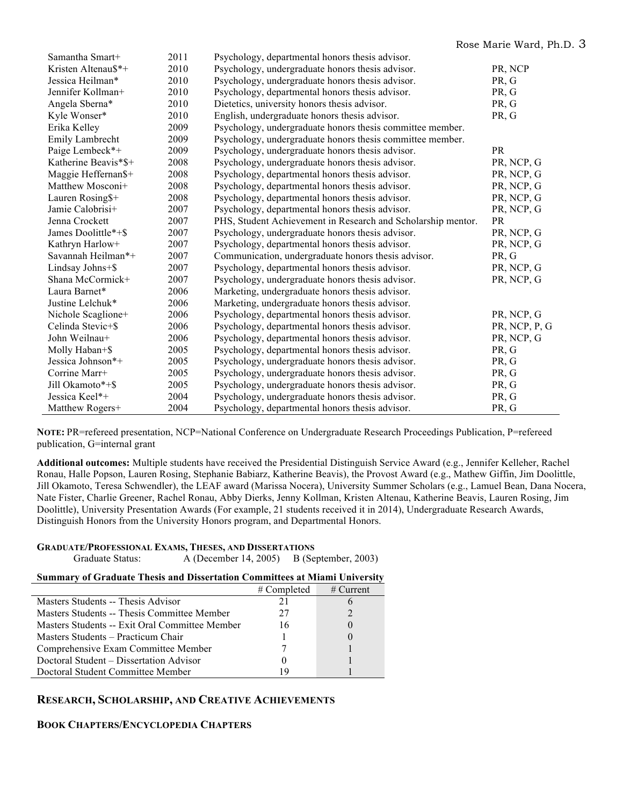| Samantha Smart+      | 2011 | Psychology, departmental honors thesis advisor.              |               |
|----------------------|------|--------------------------------------------------------------|---------------|
| Kristen Altenau\$*+  | 2010 | Psychology, undergraduate honors thesis advisor.             | PR, NCP       |
| Jessica Heilman*     | 2010 | Psychology, undergraduate honors thesis advisor.             | PR, G         |
| Jennifer Kollman+    | 2010 | Psychology, departmental honors thesis advisor.              | PR, G         |
| Angela Sberna*       | 2010 | Dietetics, university honors thesis advisor.                 | PR, G         |
| Kyle Wonser*         | 2010 | English, undergraduate honors thesis advisor.                | PR, G         |
| Erika Kelley         | 2009 | Psychology, undergraduate honors thesis committee member.    |               |
| Emily Lambrecht      | 2009 | Psychology, undergraduate honors thesis committee member.    |               |
| Paige Lembeck*+      | 2009 | Psychology, undergraduate honors thesis advisor.             | <b>PR</b>     |
| Katherine Beavis*\$+ | 2008 | Psychology, undergraduate honors thesis advisor.             | PR, NCP, G    |
| Maggie Heffernan\$+  | 2008 | Psychology, departmental honors thesis advisor.              | PR, NCP, G    |
| Matthew Mosconi+     | 2008 | Psychology, departmental honors thesis advisor.              | PR, NCP, G    |
| Lauren Rosing\$+     | 2008 | Psychology, departmental honors thesis advisor.              | PR, NCP, G    |
| Jamie Calobrisi+     | 2007 | Psychology, departmental honors thesis advisor.              | PR, NCP, G    |
| Jenna Crockett       | 2007 | PHS, Student Achievement in Research and Scholarship mentor. | <b>PR</b>     |
| James Doolittle*+\$  | 2007 | Psychology, undergraduate honors thesis advisor.             | PR, NCP, G    |
| Kathryn Harlow+      | 2007 | Psychology, departmental honors thesis advisor.              | PR, NCP, G    |
| Savannah Heilman*+   | 2007 | Communication, undergraduate honors thesis advisor.          | PR, G         |
| Lindsay Johns+\$     | 2007 | Psychology, departmental honors thesis advisor.              | PR, NCP, G    |
| Shana McCormick+     | 2007 | Psychology, undergraduate honors thesis advisor.             | PR, NCP, G    |
| Laura Barnet*        | 2006 | Marketing, undergraduate honors thesis advisor.              |               |
| Justine Lelchuk*     | 2006 | Marketing, undergraduate honors thesis advisor.              |               |
| Nichole Scaglione+   | 2006 | Psychology, departmental honors thesis advisor.              | PR, NCP, G    |
| Celinda Stevic+\$    | 2006 | Psychology, departmental honors thesis advisor.              | PR, NCP, P, G |
| John Weilnau+        | 2006 | Psychology, departmental honors thesis advisor.              | PR, NCP, G    |
| Molly Haban+\$       | 2005 | Psychology, departmental honors thesis advisor.              | PR, G         |
| Jessica Johnson*+    | 2005 | Psychology, undergraduate honors thesis advisor.             | PR, G         |
| Corrine Marr+        | 2005 | Psychology, undergraduate honors thesis advisor.             | PR, G         |
| Jill Okamoto*+\$     | 2005 | Psychology, undergraduate honors thesis advisor.             | PR, G         |
| Jessica Keel*+       | 2004 | Psychology, undergraduate honors thesis advisor.             | PR, G         |
| Matthew Rogers+      | 2004 | Psychology, departmental honors thesis advisor.              | PR, G         |

**NOTE:** PR=refereed presentation, NCP=National Conference on Undergraduate Research Proceedings Publication, P=refereed publication, G=internal grant

**Additional outcomes:** Multiple students have received the Presidential Distinguish Service Award (e.g., Jennifer Kelleher, Rachel Ronau, Halle Popson, Lauren Rosing, Stephanie Babiarz, Katherine Beavis), the Provost Award (e.g., Mathew Giffin, Jim Doolittle, Jill Okamoto, Teresa Schwendler), the LEAF award (Marissa Nocera), University Summer Scholars (e.g., Lamuel Bean, Dana Nocera, Nate Fister, Charlie Greener, Rachel Ronau, Abby Dierks, Jenny Kollman, Kristen Altenau, Katherine Beavis, Lauren Rosing, Jim Doolittle), University Presentation Awards (For example, 21 students received it in 2014), Undergraduate Research Awards, Distinguish Honors from the University Honors program, and Departmental Honors.

| <b>GRADUATE/PROFESSIONAL EXAMS, THESES, AND DISSERTATIONS</b> |                                               |  |
|---------------------------------------------------------------|-----------------------------------------------|--|
|                                                               | $1 \quad 1 \quad \Delta \wedge \wedge \wedge$ |  |

Graduate Status: A (December 14, 2005) B (September, 2003)

#### **Summary of Graduate Thesis and Dissertation Committees at Miami University**

|                                                | $#$ Completed | $#$ Current |
|------------------------------------------------|---------------|-------------|
| Masters Students -- Thesis Advisor             | 21            |             |
| Masters Students -- Thesis Committee Member    | 27            |             |
| Masters Students -- Exit Oral Committee Member | 16            |             |
| Masters Students – Practicum Chair             |               |             |
| Comprehensive Exam Committee Member            |               |             |
| Doctoral Student – Dissertation Advisor        |               |             |
| Doctoral Student Committee Member              | 19            |             |

## **RESEARCH, SCHOLARSHIP, AND CREATIVE ACHIEVEMENTS**

## **BOOK CHAPTERS/ENCYCLOPEDIA CHAPTERS**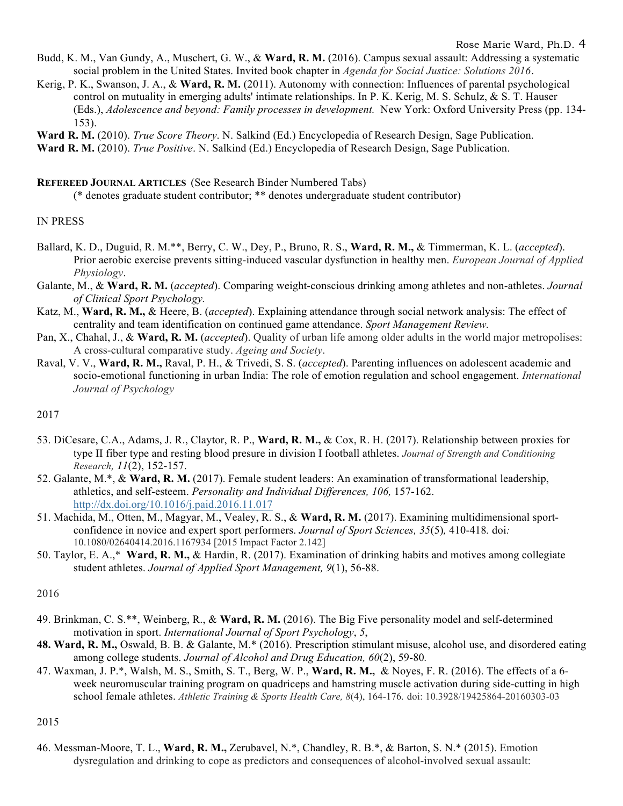#### Rose Marie Ward, Ph.D. 4

- Budd, K. M., Van Gundy, A., Muschert, G. W., & **Ward, R. M.** (2016). Campus sexual assault: Addressing a systematic social problem in the United States. Invited book chapter in *Agenda for Social Justice: Solutions 2016*.
- Kerig, P. K., Swanson, J. A., & **Ward, R. M.** (2011). Autonomy with connection: Influences of parental psychological control on mutuality in emerging adults' intimate relationships. In P. K. Kerig, M. S. Schulz, & S. T. Hauser (Eds.), *Adolescence and beyond: Family processes in development.* New York: Oxford University Press (pp. 134- 153).
- **Ward R. M.** (2010). *True Score Theory*. N. Salkind (Ed.) Encyclopedia of Research Design, Sage Publication.

**Ward R. M.** (2010). *True Positive*. N. Salkind (Ed.) Encyclopedia of Research Design, Sage Publication.

**REFEREED JOURNAL ARTICLES** (See Research Binder Numbered Tabs)

(\* denotes graduate student contributor; \*\* denotes undergraduate student contributor)

## IN PRESS

- Ballard, K. D., Duguid, R. M.\*\*, Berry, C. W., Dey, P., Bruno, R. S., **Ward, R. M.,** & Timmerman, K. L. (*accepted*). Prior aerobic exercise prevents sitting-induced vascular dysfunction in healthy men. *European Journal of Applied Physiology*.
- Galante, M., & **Ward, R. M.** (*accepted*). Comparing weight-conscious drinking among athletes and non-athletes. *Journal of Clinical Sport Psychology.*
- Katz, M., **Ward, R. M.,** & Heere, B. (*accepted*). Explaining attendance through social network analysis: The effect of centrality and team identification on continued game attendance. *Sport Management Review.*
- Pan, X., Chahal, J., & **Ward, R. M.** (*accepted*). Quality of urban life among older adults in the world major metropolises: A cross-cultural comparative study. *Ageing and Society*.
- Raval, V. V., **Ward, R. M.,** Raval, P. H., & Trivedi, S. S. (*accepted*). Parenting influences on adolescent academic and socio-emotional functioning in urban India: The role of emotion regulation and school engagement. *International Journal of Psychology*

#### 2017

- 53. DiCesare, C.A., Adams, J. R., Claytor, R. P., **Ward, R. M.,** & Cox, R. H. (2017). Relationship between proxies for type II fiber type and resting blood presure in division I football athletes. *Journal of Strength and Conditioning Research, 11*(2), 152-157.
- 52. Galante, M.\*, & **Ward, R. M.** (2017). Female student leaders: An examination of transformational leadership, athletics, and self-esteem. *Personality and Individual Differences, 106,* 157-162. http://dx.doi.org/10.1016/j.paid.2016.11.017
- 51. Machida, M., Otten, M., Magyar, M., Vealey, R. S., & **Ward, R. M.** (2017). Examining multidimensional sportconfidence in novice and expert sport performers. *Journal of Sport Sciences, 35*(5)*,* 410-418*.* doi*:*  10.1080/02640414.2016.1167934 [2015 Impact Factor 2.142]
- 50. Taylor, E. A.,\* **Ward, R. M.,** & Hardin, R. (2017). Examination of drinking habits and motives among collegiate student athletes. *Journal of Applied Sport Management, 9*(1), 56-88.

#### 2016

- 49. Brinkman, C. S.\*\*, Weinberg, R., & **Ward, R. M.** (2016). The Big Five personality model and self-determined motivation in sport. *International Journal of Sport Psychology*, *5*,
- **48. Ward, R. M.,** Oswald, B. B. & Galante, M.\* (2016). Prescription stimulant misuse, alcohol use, and disordered eating among college students. *Journal of Alcohol and Drug Education, 60*(2), 59-80*.*
- 47. Waxman, J. P.\*, Walsh, M. S., Smith, S. T., Berg, W. P., **Ward, R. M.,** & Noyes, F. R. (2016). The effects of a 6 week neuromuscular training program on quadriceps and hamstring muscle activation during side-cutting in high school female athletes. *Athletic Training & Sports Health Care, 8*(4), 164-176*.* doi: 10.3928/19425864-20160303-03

2015

46. Messman-Moore, T. L., **Ward, R. M.,** Zerubavel, N.\*, Chandley, R. B.\*, & Barton, S. N.\* (2015). Emotion dysregulation and drinking to cope as predictors and consequences of alcohol-involved sexual assault: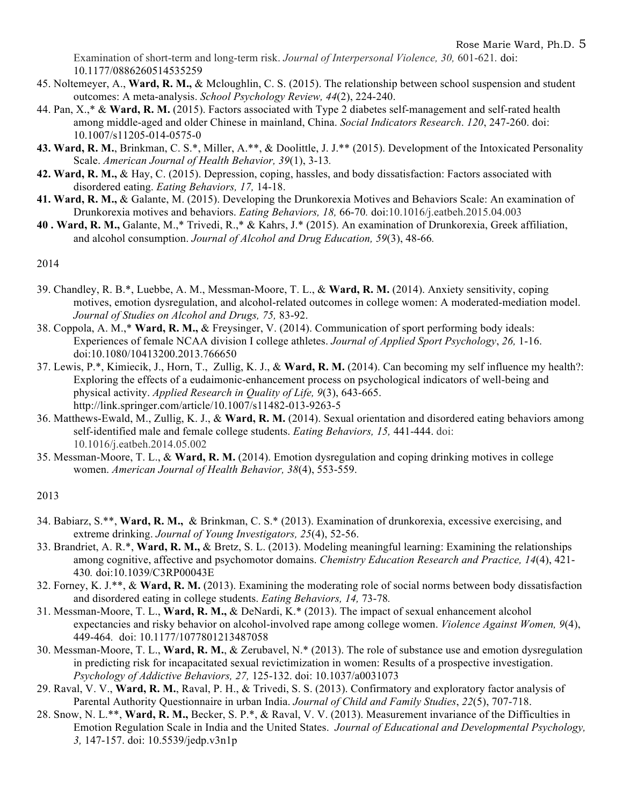Examination of short-term and long-term risk. *Journal of Interpersonal Violence, 30,* 601-621*.* doi: 10.1177/0886260514535259

- 45. Noltemeyer, A., **Ward, R. M.,** & Mcloughlin, C. S. (2015). The relationship between school suspension and student outcomes: A meta-analysis. *School Psychology Review, 44*(2), 224-240.
- 44. Pan, X.,\* & **Ward, R. M.** (2015). Factors associated with Type 2 diabetes self-management and self-rated health among middle-aged and older Chinese in mainland, China. *Social Indicators Research*. *120*, 247-260. doi: 10.1007/s11205-014-0575-0
- **43. Ward, R. M.**, Brinkman, C. S.\*, Miller, A.\*\*, & Doolittle, J. J.\*\* (2015). Development of the Intoxicated Personality Scale. *American Journal of Health Behavior, 39*(1), 3-13*.*
- **42. Ward, R. M.,** & Hay, C. (2015). Depression, coping, hassles, and body dissatisfaction: Factors associated with disordered eating. *Eating Behaviors, 17,* 14-18.
- **41. Ward, R. M.,** & Galante, M. (2015). Developing the Drunkorexia Motives and Behaviors Scale: An examination of Drunkorexia motives and behaviors. *Eating Behaviors, 18,* 66-70*.* doi:10.1016/j.eatbeh.2015.04.003
- **40 . Ward, R. M.,** Galante, M.,\* Trivedi, R.,\* & Kahrs, J.\* (2015). An examination of Drunkorexia, Greek affiliation, and alcohol consumption. *Journal of Alcohol and Drug Education, 59*(3), 48-66*.*

2014

- 39. Chandley, R. B.\*, Luebbe, A. M., Messman-Moore, T. L., & **Ward, R. M.** (2014). Anxiety sensitivity, coping motives, emotion dysregulation, and alcohol-related outcomes in college women: A moderated-mediation model. *Journal of Studies on Alcohol and Drugs, 75,* 83-92.
- 38. Coppola, A. M.,\* **Ward, R. M.,** & Freysinger, V. (2014). Communication of sport performing body ideals: Experiences of female NCAA division I college athletes. *Journal of Applied Sport Psychology*, *26,* 1-16. doi:10.1080/10413200.2013.766650
- 37. Lewis, P.\*, Kimiecik, J., Horn, T., Zullig, K. J., & **Ward, R. M.** (2014). Can becoming my self influence my health?: Exploring the effects of a eudaimonic-enhancement process on psychological indicators of well-being and physical activity. *Applied Research in Quality of Life, 9*(3), 643-665. http://link.springer.com/article/10.1007/s11482-013-9263-5
- 36. Matthews-Ewald, M., Zullig, K. J., & **Ward, R. M.** (2014). Sexual orientation and disordered eating behaviors among self-identified male and female college students. *Eating Behaviors, 15,* 441-444. doi: 10.1016/j.eatbeh.2014.05.002
- 35. Messman-Moore, T. L., & **Ward, R. M.** (2014). Emotion dysregulation and coping drinking motives in college women. *American Journal of Health Behavior, 38*(4), 553-559.

2013

- 34. Babiarz, S.\*\*, **Ward, R. M.,** & Brinkman, C. S.\* (2013). Examination of drunkorexia, excessive exercising, and extreme drinking. *Journal of Young Investigators, 25*(4), 52-56.
- 33. Brandriet, A. R.\*, **Ward, R. M.,** & Bretz, S. L. (2013). Modeling meaningful learning: Examining the relationships among cognitive, affective and psychomotor domains. *Chemistry Education Research and Practice, 14*(4), 421- 430*.* doi:10.1039/C3RP00043E
- 32. Forney, K. J.\*\*, & **Ward, R. M.** (2013). Examining the moderating role of social norms between body dissatisfaction and disordered eating in college students. *Eating Behaviors, 14,* 73-78*.*
- 31. Messman-Moore, T. L., **Ward, R. M.,** & DeNardi, K.\* (2013). The impact of sexual enhancement alcohol expectancies and risky behavior on alcohol-involved rape among college women. *Violence Against Women, 9*(4), 449-464*.* doi: 10.1177/1077801213487058
- 30. Messman-Moore, T. L., **Ward, R. M.**, & Zerubavel, N.\* (2013). The role of substance use and emotion dysregulation in predicting risk for incapacitated sexual revictimization in women: Results of a prospective investigation. *Psychology of Addictive Behaviors, 27,* 125-132. doi: 10.1037/a0031073
- 29. Raval, V. V., **Ward, R. M.**, Raval, P. H., & Trivedi, S. S. (2013). Confirmatory and exploratory factor analysis of Parental Authority Questionnaire in urban India. *Journal of Child and Family Studies*, *22*(5), 707-718.
- 28. Snow, N. L.\*\*, **Ward, R. M.,** Becker, S. P.\*, & Raval, V. V. (2013). Measurement invariance of the Difficulties in Emotion Regulation Scale in India and the United States. *Journal of Educational and Developmental Psychology, 3,* 147-157. doi: 10.5539/jedp.v3n1p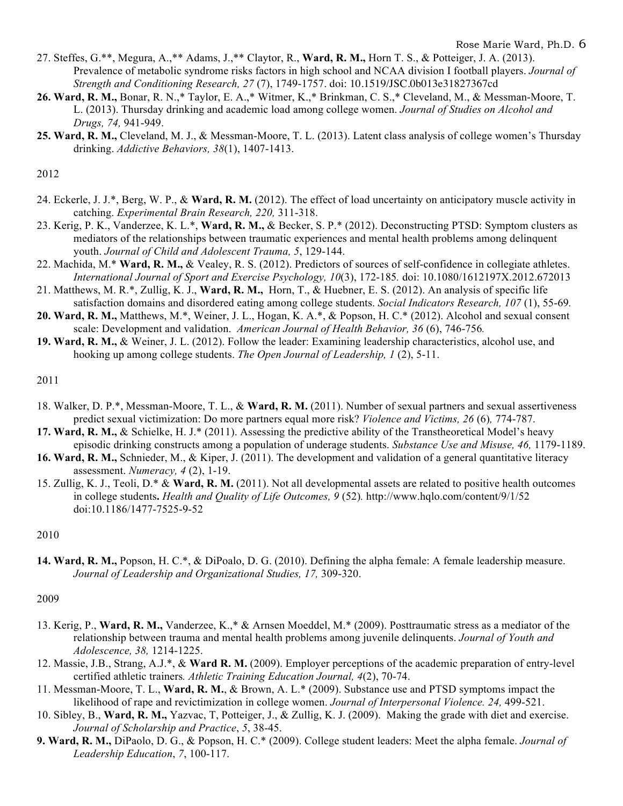- 27. Steffes, G.\*\*, Megura, A.,\*\* Adams, J.,\*\* Claytor, R., **Ward, R. M.,** Horn T. S., & Potteiger, J. A. (2013). Prevalence of metabolic syndrome risks factors in high school and NCAA division I football players. *Journal of Strength and Conditioning Research, 27* (7), 1749-1757. doi: 10.1519/JSC.0b013e31827367cd
- **26. Ward, R. M.,** Bonar, R. N.,\* Taylor, E. A.,\* Witmer, K.,\* Brinkman, C. S.,\* Cleveland, M., & Messman-Moore, T. L. (2013). Thursday drinking and academic load among college women. *Journal of Studies on Alcohol and Drugs, 74,* 941-949.
- **25. Ward, R. M.,** Cleveland, M. J., & Messman-Moore, T. L. (2013). Latent class analysis of college women's Thursday drinking. *Addictive Behaviors, 38*(1), 1407-1413.

2012

- 24. Eckerle, J. J.\*, Berg, W. P., & **Ward, R. M.** (2012). The effect of load uncertainty on anticipatory muscle activity in catching. *Experimental Brain Research, 220,* 311-318.
- 23. Kerig, P. K., Vanderzee, K. L.\*, **Ward, R. M.,** & Becker, S. P.\* (2012). Deconstructing PTSD: Symptom clusters as mediators of the relationships between traumatic experiences and mental health problems among delinquent youth. *Journal of Child and Adolescent Trauma, 5*, 129-144.
- 22. Machida, M.\* **Ward, R. M.,** & Vealey, R. S. (2012). Predictors of sources of self-confidence in collegiate athletes. *International Journal of Sport and Exercise Psychology, 10*(3), 172-185*.* doi: 10.1080/1612197X.2012.672013
- 21. Matthews, M. R.\*, Zullig, K. J., **Ward, R. M.,** Horn, T., & Huebner, E. S. (2012). An analysis of specific life satisfaction domains and disordered eating among college students. *Social Indicators Research, 107* (1), 55-69*.*
- **20. Ward, R. M.,** Matthews, M.\*, Weiner, J. L., Hogan, K. A.\*, & Popson, H. C.\* (2012). Alcohol and sexual consent scale: Development and validation. *American Journal of Health Behavior, 36* (6), 746-756*.*
- **19. Ward, R. M.,** & Weiner, J. L. (2012). Follow the leader: Examining leadership characteristics, alcohol use, and hooking up among college students. *The Open Journal of Leadership, 1* (2), 5-11.

2011

- 18. Walker, D. P.\*, Messman-Moore, T. L., & **Ward, R. M.** (2011). Number of sexual partners and sexual assertiveness predict sexual victimization: Do more partners equal more risk? *Violence and Victims, 26* (6)*,* 774-787.
- **17. Ward, R. M.,** & Schielke, H. J.\* (2011). Assessing the predictive ability of the Transtheoretical Model's heavy episodic drinking constructs among a population of underage students. *Substance Use and Misuse, 46,* 1179-1189.
- **16. Ward, R. M.,** Schnieder, M., & Kiper, J. (2011). The development and validation of a general quantitative literacy assessment. *Numeracy, 4* (2), 1-19.
- 15. Zullig, K. J., Teoli, D.\* & **Ward, R. M.** (2011). Not all developmental assets are related to positive health outcomes in college students**.** *Health and Quality of Life Outcomes, 9* (52)*.* http://www.hqlo.com/content/9/1/52 doi:10.1186/1477-7525-9-52

2010

**14. Ward, R. M.,** Popson, H. C.\*, & DiPoalo, D. G. (2010). Defining the alpha female: A female leadership measure. *Journal of Leadership and Organizational Studies, 17,* 309-320.

2009

- 13. Kerig, P., **Ward, R. M.,** Vanderzee, K.,\* & Arnsen Moeddel, M.\* (2009). Posttraumatic stress as a mediator of the relationship between trauma and mental health problems among juvenile delinquents. *Journal of Youth and Adolescence, 38,* 1214-1225.
- 12. Massie, J.B., Strang, A.J.\*, & **Ward R. M.** (2009). Employer perceptions of the academic preparation of entry-level certified athletic trainers*. Athletic Training Education Journal, 4*(2), 70-74.
- 11. Messman-Moore, T. L., **Ward, R. M.**, & Brown, A. L.\* (2009). Substance use and PTSD symptoms impact the likelihood of rape and revictimization in college women. *Journal of Interpersonal Violence. 24,* 499-521.
- 10. Sibley, B., **Ward, R. M.,** Yazvac, T, Potteiger, J., & Zullig, K. J. (2009). Making the grade with diet and exercise. *Journal of Scholarship and Practice*, *5*, 38-45.
- **9. Ward, R. M.,** DiPaolo, D. G., & Popson, H. C.\* (2009). College student leaders: Meet the alpha female. *Journal of Leadership Education*, *7*, 100-117.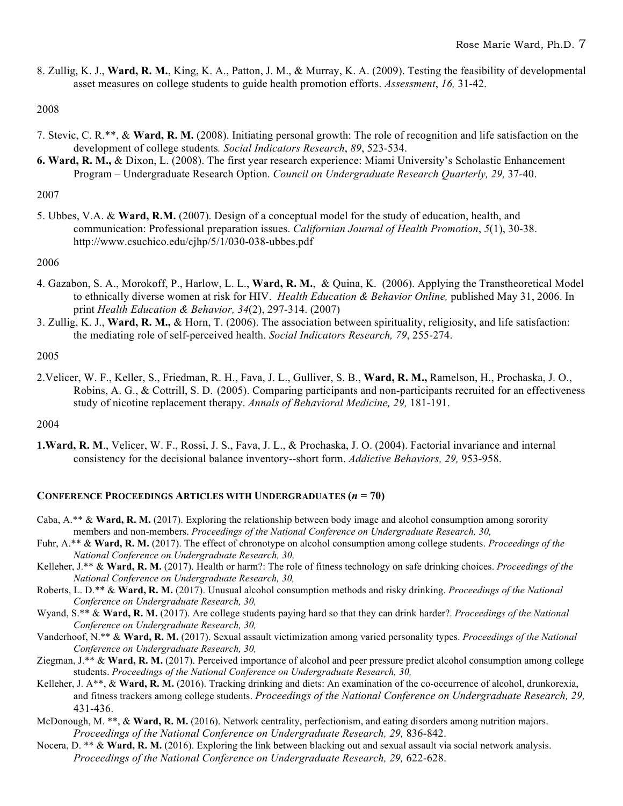8. Zullig, K. J., **Ward, R. M.**, King, K. A., Patton, J. M., & Murray, K. A. (2009). Testing the feasibility of developmental asset measures on college students to guide health promotion efforts. *Assessment*, *16,* 31-42.

# 2008

- 7. Stevic, C. R.\*\*, & **Ward, R. M.** (2008). Initiating personal growth: The role of recognition and life satisfaction on the development of college students*. Social Indicators Research*, *89*, 523-534.
- **6. Ward, R. M.,** & Dixon, L. (2008). The first year research experience: Miami University's Scholastic Enhancement Program – Undergraduate Research Option. *Council on Undergraduate Research Quarterly, 29,* 37-40.

# 2007

5. Ubbes, V.A. & **Ward, R.M.** (2007). Design of a conceptual model for the study of education, health, and communication: Professional preparation issues. *Californian Journal of Health Promotion*, *5*(1), 30-38. http://www.csuchico.edu/cjhp/5/1/030-038-ubbes.pdf

# 2006

- 4. Gazabon, S. A., Morokoff, P., Harlow, L. L., **Ward, R. M.**, & Quina, K. (2006). Applying the Transtheoretical Model to ethnically diverse women at risk for HIV. *Health Education & Behavior Online,* published May 31, 2006. In print *Health Education & Behavior, 34*(2), 297-314. (2007)
- 3. Zullig, K. J., **Ward, R. M.,** & Horn, T. (2006). The association between spirituality, religiosity, and life satisfaction: the mediating role of self-perceived health. *Social Indicators Research, 79*, 255-274.

## 2005

2.Velicer, W. F., Keller, S., Friedman, R. H., Fava, J. L., Gulliver, S. B., **Ward, R. M.,** Ramelson, H., Prochaska, J. O., Robins, A. G., & Cottrill, S. D. (2005). Comparing participants and non-participants recruited for an effectiveness study of nicotine replacement therapy. *Annals of Behavioral Medicine, 29,* 181-191.

## 2004

**1.Ward, R. M**., Velicer, W. F., Rossi, J. S., Fava, J. L., & Prochaska, J. O. (2004). Factorial invariance and internal consistency for the decisional balance inventory--short form. *Addictive Behaviors, 29,* 953-958.

# **CONFERENCE PROCEEDINGS ARTICLES WITH UNDERGRADUATES (***n* **= 70)**

- Caba, A.\*\* & **Ward, R. M.** (2017). Exploring the relationship between body image and alcohol consumption among sorority members and non-members. *Proceedings of the National Conference on Undergraduate Research, 30,*
- Fuhr, A.\*\* & **Ward, R. M.** (2017). The effect of chronotype on alcohol consumption among college students. *Proceedings of the National Conference on Undergraduate Research, 30,*
- Kelleher, J.\*\* & **Ward, R. M.** (2017). Health or harm?: The role of fitness technology on safe drinking choices. *Proceedings of the National Conference on Undergraduate Research, 30,*
- Roberts, L. D.\*\* & **Ward, R. M.** (2017). Unusual alcohol consumption methods and risky drinking. *Proceedings of the National Conference on Undergraduate Research, 30,*
- Wyand, S.\*\* & **Ward, R. M.** (2017). Are college students paying hard so that they can drink harder?. *Proceedings of the National Conference on Undergraduate Research, 30,*
- Vanderhoof, N.\*\* & **Ward, R. M.** (2017). Sexual assault victimization among varied personality types. *Proceedings of the National Conference on Undergraduate Research, 30,*
- Ziegman, J.\*\* & **Ward, R. M.** (2017). Perceived importance of alcohol and peer pressure predict alcohol consumption among college students. *Proceedings of the National Conference on Undergraduate Research, 30,*
- Kelleher, J. A\*\*, & **Ward, R. M.** (2016). Tracking drinking and diets: An examination of the co-occurrence of alcohol, drunkorexia, and fitness trackers among college students. *Proceedings of the National Conference on Undergraduate Research, 29,*  431-436.
- McDonough, M. \*\*, & **Ward, R. M.** (2016). Network centrality, perfectionism, and eating disorders among nutrition majors. *Proceedings of the National Conference on Undergraduate Research, 29,* 836-842.
- Nocera, D. \*\* & **Ward, R. M.** (2016). Exploring the link between blacking out and sexual assault via social network analysis. *Proceedings of the National Conference on Undergraduate Research, 29, 622-628.*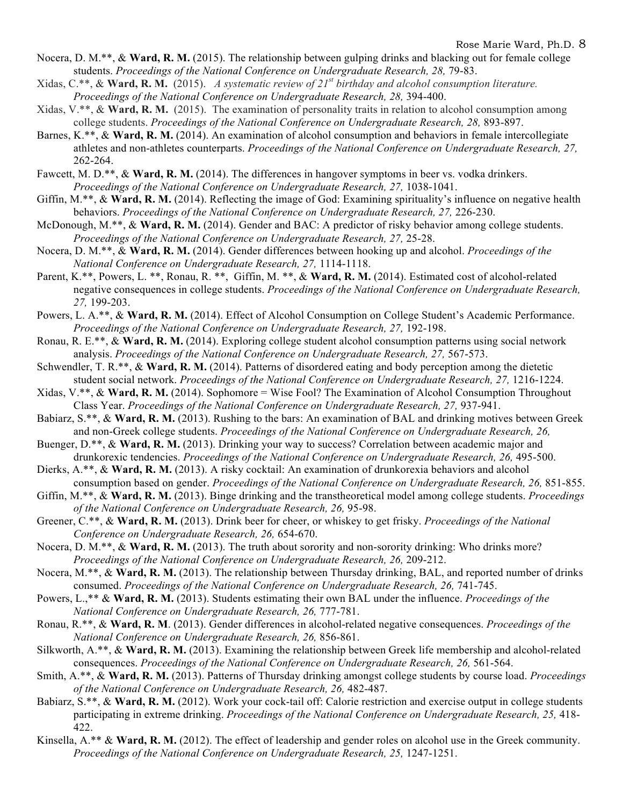- Nocera, D. M.\*\*, & **Ward, R. M.** (2015). The relationship between gulping drinks and blacking out for female college students. *Proceedings of the National Conference on Undergraduate Research, 28,* 79-83.
- Xidas, C.\*\*, & **Ward, R. M.** (2015). *A systematic review of 21st birthday and alcohol consumption literature. Proceedings of the National Conference on Undergraduate Research, 28, 394-400.*
- Xidas, V.\*\*, & **Ward, R. M.** (2015). The examination of personality traits in relation to alcohol consumption among college students. *Proceedings of the National Conference on Undergraduate Research, 28,* 893-897.
- Barnes, K.\*\*, & **Ward, R. M.** (2014). An examination of alcohol consumption and behaviors in female intercollegiate athletes and non-athletes counterparts. *Proceedings of the National Conference on Undergraduate Research, 27,*  262-264.
- Fawcett, M. D.<sup>\*\*</sup>, & Ward, R. M. (2014). The differences in hangover symptoms in beer vs. vodka drinkers. *Proceedings of the National Conference on Undergraduate Research, 27, 1038-1041.*
- Giffin, M.\*\*, & **Ward, R. M.** (2014). Reflecting the image of God: Examining spirituality's influence on negative health behaviors. *Proceedings of the National Conference on Undergraduate Research, 27, 226-230.*
- McDonough, M.\*\*, & **Ward, R. M.** (2014). Gender and BAC: A predictor of risky behavior among college students. *Proceedings of the National Conference on Undergraduate Research, 27, 25-28.*
- Nocera, D. M.\*\*, & **Ward, R. M.** (2014). Gender differences between hooking up and alcohol. *Proceedings of the National Conference on Undergraduate Research, 27,* 1114-1118.
- Parent, K.\*\*, Powers, L.\*\*, Ronau, R.\*\*, Giffin, M.\*\*, & Ward, R.M. (2014). Estimated cost of alcohol-related negative consequences in college students. *Proceedings of the National Conference on Undergraduate Research, 27,* 199-203.
- Powers, L. A.\*\*, & **Ward, R. M.** (2014). Effect of Alcohol Consumption on College Student's Academic Performance. *Proceedings of the National Conference on Undergraduate Research, 27, 192-198.*
- Ronau, R. E.\*\*, & **Ward, R. M.** (2014). Exploring college student alcohol consumption patterns using social network analysis. *Proceedings of the National Conference on Undergraduate Research, 27,* 567-573.
- Schwendler, T. R.\*\*, & **Ward, R. M.** (2014). Patterns of disordered eating and body perception among the dietetic student social network. *Proceedings of the National Conference on Undergraduate Research, 27,* 1216-1224.
- Xidas,  $V^*$ ,  $\&$  **Ward, R. M.** (2014). Sophomore = Wise Fool? The Examination of Alcohol Consumption Throughout Class Year. *Proceedings of the National Conference on Undergraduate Research, 27,* 937-941.
- Babiarz, S.\*\*, & **Ward, R. M.** (2013). Rushing to the bars: An examination of BAL and drinking motives between Greek and non-Greek college students. *Proceedings of the National Conference on Undergraduate Research, 26,*
- Buenger, D.\*\*, & **Ward, R. M.** (2013). Drinking your way to success? Correlation between academic major and drunkorexic tendencies. *Proceedings of the National Conference on Undergraduate Research, 26, 495-500.*
- Dierks, A.\*\*, & **Ward, R. M.** (2013). A risky cocktail: An examination of drunkorexia behaviors and alcohol consumption based on gender. *Proceedings of the National Conference on Undergraduate Research, 26,* 851-855.
- Giffin, M.\*\*, & **Ward, R. M.** (2013). Binge drinking and the transtheoretical model among college students. *Proceedings of the National Conference on Undergraduate Research, 26,* 95-98.
- Greener, C.\*\*, & **Ward, R. M.** (2013). Drink beer for cheer, or whiskey to get frisky. *Proceedings of the National Conference on Undergraduate Research, 26,* 654-670.
- Nocera, D. M.\*\*, & **Ward, R. M.** (2013). The truth about sorority and non-sorority drinking: Who drinks more? *Proceedings of the National Conference on Undergraduate Research, 26, 209-212.*
- Nocera, M.\*\*, & **Ward, R. M.** (2013). The relationship between Thursday drinking, BAL, and reported number of drinks consumed. *Proceedings of the National Conference on Undergraduate Research, 26,* 741-745.
- Powers, L.,\*\* & **Ward, R. M.** (2013). Students estimating their own BAL under the influence. *Proceedings of the National Conference on Undergraduate Research, 26,* 777-781.
- Ronau, R.\*\*, & **Ward, R. M**. (2013). Gender differences in alcohol-related negative consequences. *Proceedings of the National Conference on Undergraduate Research, 26,* 856-861.
- Silkworth, A.\*\*, & **Ward, R. M.** (2013). Examining the relationship between Greek life membership and alcohol-related consequences. *Proceedings of the National Conference on Undergraduate Research, 26,* 561-564.
- Smith, A.\*\*, & **Ward, R. M.** (2013). Patterns of Thursday drinking amongst college students by course load. *Proceedings of the National Conference on Undergraduate Research, 26,* 482-487.
- Babiarz, S.\*\*, & Ward, R. M. (2012). Work your cock-tail off: Calorie restriction and exercise output in college students participating in extreme drinking. *Proceedings of the National Conference on Undergraduate Research, 25,* 418- 422.
- Kinsella, A.\*\* & **Ward, R. M.** (2012). The effect of leadership and gender roles on alcohol use in the Greek community. *Proceedings of the National Conference on Undergraduate Research, 25, 1247-1251.*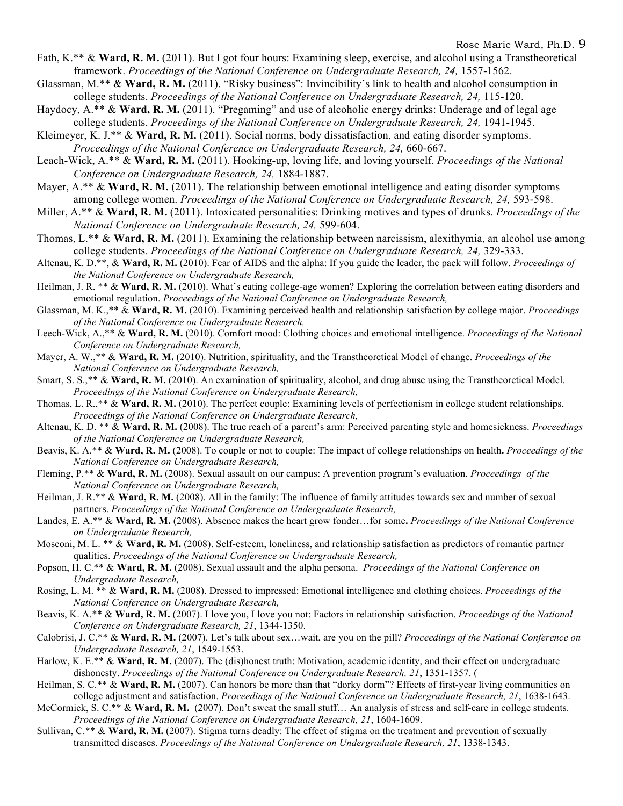- Fath, K.\*\* & **Ward, R. M.** (2011). But I got four hours: Examining sleep, exercise, and alcohol using a Transtheoretical framework. *Proceedings of the National Conference on Undergraduate Research, 24, 1557-1562.*
- Glassman, M.\*\* & **Ward, R. M.** (2011). "Risky business": Invincibility's link to health and alcohol consumption in college students. *Proceedings of the National Conference on Undergraduate Research, 24,* 115-120.
- Haydocy, A.\*\* & **Ward, R. M.** (2011). "Pregaming" and use of alcoholic energy drinks: Underage and of legal age college students. *Proceedings of the National Conference on Undergraduate Research*, 24, 1941-1945.
- Kleimeyer, K. J.\*\* & **Ward, R. M.** (2011). Social norms, body dissatisfaction, and eating disorder symptoms. *Proceedings of the National Conference on Undergraduate Research, 24,* 660-667.
- Leach-Wick, A.\*\* & **Ward, R. M.** (2011). Hooking-up, loving life, and loving yourself. *Proceedings of the National Conference on Undergraduate Research, 24,* 1884-1887.
- Mayer, A.\*\* & **Ward, R. M.** (2011). The relationship between emotional intelligence and eating disorder symptoms among college women. *Proceedings of the National Conference on Undergraduate Research, 24,* 593-598.
- Miller, A.\*\* & **Ward, R. M.** (2011). Intoxicated personalities: Drinking motives and types of drunks. *Proceedings of the National Conference on Undergraduate Research, 24,* 599-604.
- Thomas, L.\*\* & **Ward, R. M.** (2011). Examining the relationship between narcissism, alexithymia, an alcohol use among college students. *Proceedings of the National Conference on Undergraduate Research, 24, 329-333.*
- Altenau, K. D.\*\*, & **Ward, R. M.** (2010). Fear of AIDS and the alpha: If you guide the leader, the pack will follow. *Proceedings of the National Conference on Undergraduate Research,*
- Heilman, J. R. \*\* & **Ward, R. M.** (2010). What's eating college-age women? Exploring the correlation between eating disorders and emotional regulation. *Proceedings of the National Conference on Undergraduate Research,*
- Glassman, M. K.,\*\* & **Ward, R. M.** (2010). Examining perceived health and relationship satisfaction by college major. *Proceedings of the National Conference on Undergraduate Research,*
- Leech-Wick, A.,\*\* & **Ward, R. M.** (2010). Comfort mood: Clothing choices and emotional intelligence. *Proceedings of the National Conference on Undergraduate Research,*
- Mayer, A. W.,\*\* & **Ward, R. M.** (2010). Nutrition, spirituality, and the Transtheoretical Model of change. *Proceedings of the National Conference on Undergraduate Research,*
- Smart, S. S.,\*\* & **Ward, R. M.** (2010). An examination of spirituality, alcohol, and drug abuse using the Transtheoretical Model. *Proceedings of the National Conference on Undergraduate Research,*
- Thomas, L. R.,\*\* & **Ward, R. M.** (2010). The perfect couple: Examining levels of perfectionism in college student relationships*. Proceedings of the National Conference on Undergraduate Research,*
- Altenau, K. D. \*\* & **Ward, R. M.** (2008). The true reach of a parent's arm: Perceived parenting style and homesickness. *Proceedings of the National Conference on Undergraduate Research,*
- Beavis, K. A.\*\* & **Ward, R. M.** (2008). To couple or not to couple: The impact of college relationships on health**.** *Proceedings of the National Conference on Undergraduate Research,*
- Fleming, P.\*\* & **Ward, R. M.** (2008). Sexual assault on our campus: A prevention program's evaluation. *Proceedings of the National Conference on Undergraduate Research,*
- Heilman, J. R.\*\* & **Ward, R. M.** (2008). All in the family: The influence of family attitudes towards sex and number of sexual partners. *Proceedings of the National Conference on Undergraduate Research,*
- Landes, E. A.\*\* & **Ward, R. M.** (2008). Absence makes the heart grow fonder…for some**.** *Proceedings of the National Conference on Undergraduate Research,*
- Mosconi, M. L. \*\* & **Ward, R. M.** (2008). Self-esteem, loneliness, and relationship satisfaction as predictors of romantic partner qualities. *Proceedings of the National Conference on Undergraduate Research,*
- Popson, H. C.\*\* & **Ward, R. M.** (2008). Sexual assault and the alpha persona. *Proceedings of the National Conference on Undergraduate Research,*
- Rosing, L. M. \*\* & **Ward, R. M.** (2008). Dressed to impressed: Emotional intelligence and clothing choices. *Proceedings of the National Conference on Undergraduate Research,*
- Beavis, K. A.\*\* & **Ward, R. M.** (2007). I love you, I love you not: Factors in relationship satisfaction. *Proceedings of the National Conference on Undergraduate Research, 21*, 1344-1350.
- Calobrisi, J. C.\*\* & **Ward, R. M.** (2007). Let's talk about sex…wait, are you on the pill? *Proceedings of the National Conference on Undergraduate Research, 21*, 1549-1553.
- Harlow, K. E.\*\* & Ward, R. M. (2007). The (dis)honest truth: Motivation, academic identity, and their effect on undergraduate dishonesty. *Proceedings of the National Conference on Undergraduate Research, 21*, 1351-1357. (
- Heilman, S. C.<sup>\*\*</sup> & Ward, R. M. (2007). Can honors be more than that "dorky dorm"? Effects of first-year living communities on college adjustment and satisfaction. *Proceedings of the National Conference on Undergraduate Research, 21*, 1638-1643.
- McCormick, S. C.\*\* & **Ward, R. M.** (2007). Don't sweat the small stuff… An analysis of stress and self-care in college students. *Proceedings of the National Conference on Undergraduate Research, 21*, 1604-1609.
- Sullivan, C.\*\* & Ward, R. M. (2007). Stigma turns deadly: The effect of stigma on the treatment and prevention of sexually transmitted diseases. *Proceedings of the National Conference on Undergraduate Research, 21*, 1338-1343.